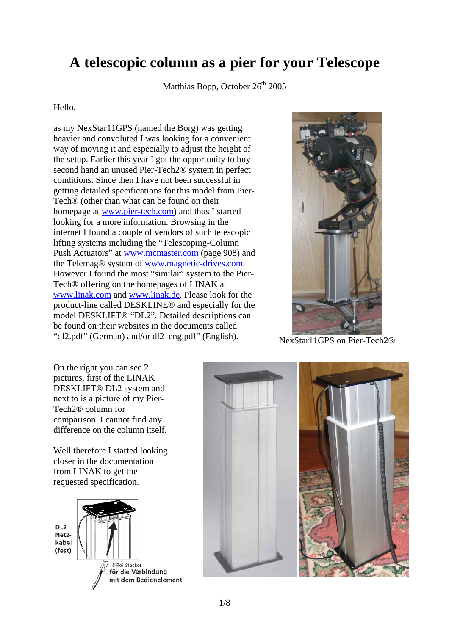# **A telescopic column as a pier for your Telescope**

Matthias Bopp, October  $26<sup>th</sup>$  2005

#### Hello,

as my NexStar11GPS (named the Borg) was getting heavier and convoluted I was looking for a convenient way of moving it and especially to adjust the height of the setup. Earlier this year I got the opportunity to buy second hand an unused Pier-Tech2® system in perfect conditions. Since then I have not been successful in getting detailed specifications for this model from Pier-Tech® (other than what can be found on their homepage at www.pier-tech.com) and thus I started looking for a more information. Browsing in the internet I found a couple of vendors of such telescopic lifting systems including the "Telescoping-Column Push Actuators" at www.mcmaster.com (page 908) and the Telemag® system of www.magnetic-drives.com. However I found the most "similar" system to the Pier-Tech® offering on the homepages of LINAK at www.linak.com and www.linak.de. Please look for the product-line called DESKLINE® and especially for the model DESKLIFT® "DL2". Detailed descriptions can be found on their websites in the documents called "dl2.pdf" (German) and/or dl2\_eng.pdf" (English). NexStar11GPS on Pier-Tech2®



On the right you can see 2 pictures, first of the LINAK DESKLIFT® DL2 system and next to is a picture of my Pier-Tech2® column for comparison. I cannot find any difference on the column itself.

Well therefore I started looking closer in the documentation from LINAK to get the requested specification.



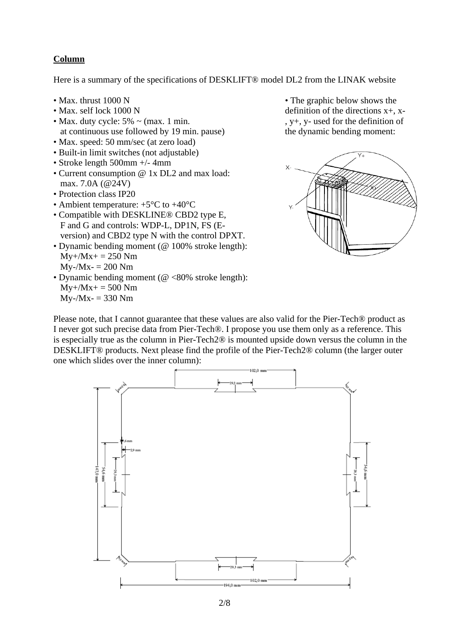### **Column**

Here is a summary of the specifications of DESKLIFT® model DL2 from the LINAK website

- Max. thrust 1000 N
- Max. self lock 1000 N
- Max. duty cycle:  $5\% \sim$  (max. 1 min. at continuous use followed by 19 min. pause)
- Max. speed: 50 mm/sec (at zero load)
- Built-in limit switches (not adjustable)
- Stroke length 500mm +/- 4mm
- Current consumption @ 1x DL2 and max load: max. 7.0A (@24V)
- Protection class IP20
- Ambient temperature:  $+5^{\circ}$ C to  $+40^{\circ}$ C
- Compatible with DESKLINE® CBD2 type E, F and G and controls: WDP-L, DP1N, FS (E version) and CBD2 type N with the control DPXT.
- Dynamic bending moment (@ 100% stroke length):  $My+/Mx+ = 250 Nm$  $Mv$ -/Mx- = 200 Nm
- Dynamic bending moment (@ <80% stroke length):  $My+/Mx+ = 500 Nm$  $My - / Mx = 330 Nm$

• The graphic below shows the definition of the directions x+, x- , y+, y- used for the definition of the dynamic bending moment:



Please note, that I cannot guarantee that these values are also valid for the Pier-Tech® product as I never got such precise data from Pier-Tech®. I propose you use them only as a reference. This is especially true as the column in Pier-Tech2® is mounted upside down versus the column in the DESKLIFT® products. Next please find the profile of the Pier-Tech2® column (the larger outer one which slides over the inner column):

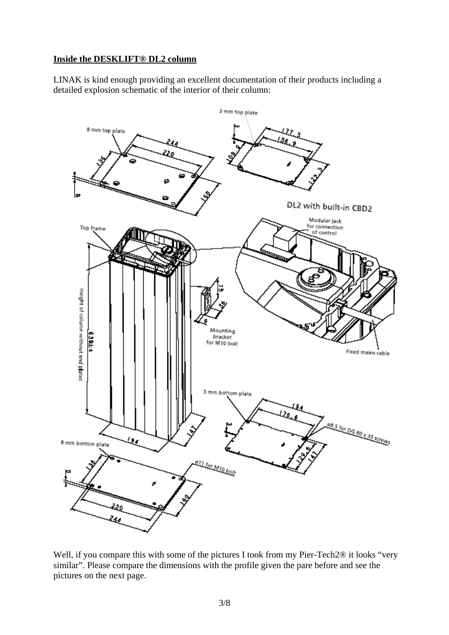#### **Inside the DESKLIFT® DL2 column**

LINAK is kind enough providing an excellent documentation of their products including a detailed explosion schematic of the interior of their column:



Well, if you compare this with some of the pictures I took from my Pier-Tech2® it looks "very similar". Please compare the dimensions with the profile given the pare before and see the pictures on the next page.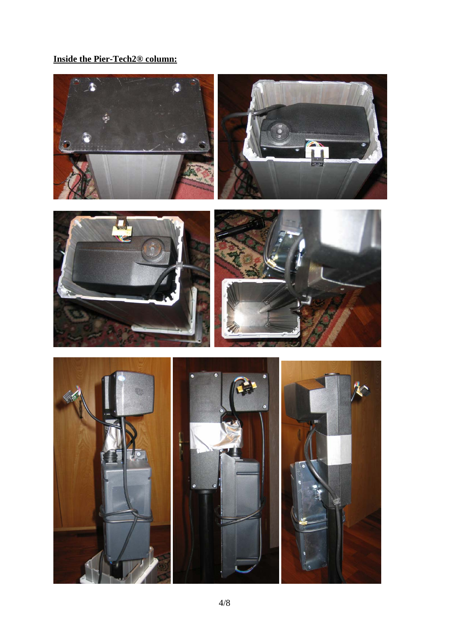# **Inside the Pier-Tech2® column:**

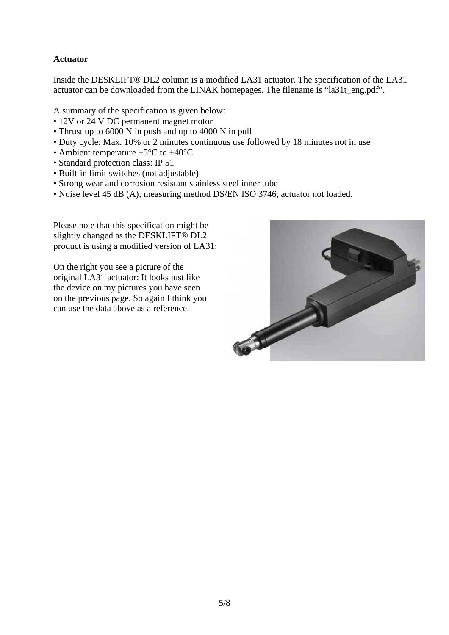## **Actuator**

Inside the DESKLIFT® DL2 column is a modified LA31 actuator. The specification of the LA31 actuator can be downloaded from the LINAK homepages. The filename is "la31t\_eng.pdf".

A summary of the specification is given below:

- 12V or 24 V DC permanent magnet motor
- Thrust up to 6000 N in push and up to 4000 N in pull
- Duty cycle: Max. 10% or 2 minutes continuous use followed by 18 minutes not in use
- Ambient temperature  $+5^{\circ}$ C to  $+40^{\circ}$ C
- Standard protection class: IP 51
- Built-in limit switches (not adjustable)
- Strong wear and corrosion resistant stainless steel inner tube
- Noise level 45 dB (A); measuring method DS/EN ISO 3746, actuator not loaded.

Please note that this specification might be slightly changed as the DESKLIFT® DL2 product is using a modified version of LA31:

On the right you see a picture of the original LA31 actuator: It looks just like the device on my pictures you have seen on the previous page. So again I think you can use the data above as a reference.

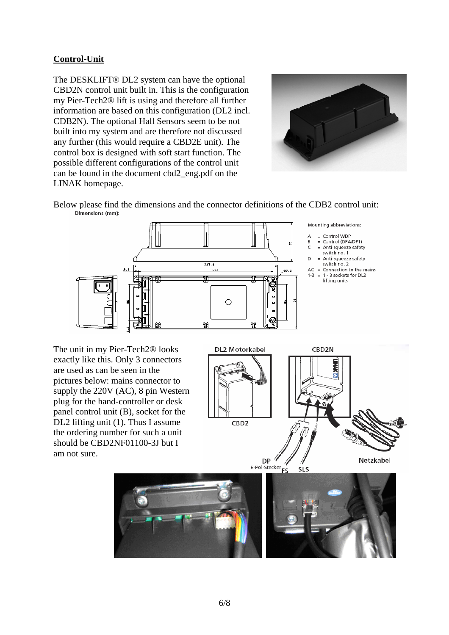## **Control-Unit**

The DESKLIFT® DL2 system can have the optional CBD2N control unit built in. This is the configuration my Pier-Tech2® lift is using and therefore all further information are based on this configuration (DL2 incl. CDB2N). The optional Hall Sensors seem to be not built into my system and are therefore not discussed any further (this would require a CBD2E unit). The control box is designed with soft start function. The possible different configurations of the control unit can be found in the document cbd2\_eng.pdf on the LINAK homepage.



Below please find the dimensions and the connector definitions of the CDB2 control unit:<br>
Dimensions (mm):



The unit in my Pier-Tech2® looks exactly like this. Only 3 connectors are used as can be seen in the pictures below: mains connector to supply the 220V (AC), 8 pin Western plug for the hand-controller or desk panel control unit (B), socket for the DL2 lifting unit (1). Thus I assume the ordering number for such a unit should be CBD2NF01100-3J but I am not sure.







 $DP$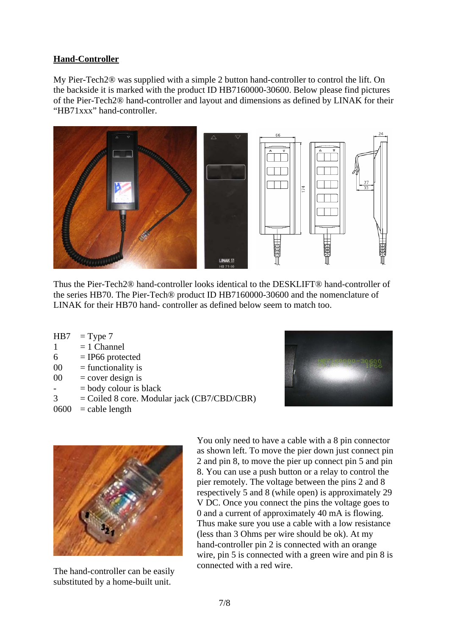#### **Hand-Controller**

My Pier-Tech2® was supplied with a simple 2 button hand-controller to control the lift. On the backside it is marked with the product ID HB7160000-30600. Below please find pictures of the Pier-Tech2® hand-controller and layout and dimensions as defined by LINAK for their "HB71xxx" hand-controller.



Thus the Pier-Tech2® hand-controller looks identical to the DESKLIFT® hand-controller of the series HB70. The Pier-Tech® product ID HB7160000-30600 and the nomenclature of LINAK for their HB70 hand- controller as defined below seem to match too.

| HB7            | $=$ Type 7                                    |
|----------------|-----------------------------------------------|
| 1              | $= 1$ Channel                                 |
| 6              | $=$ IP66 protected                            |
| 00             | $=$ functionality is                          |
| 00             | $=$ cover design is                           |
| $\overline{a}$ | $=$ body colour is black                      |
| 3              | $=$ Coiled 8 core. Modular jack (CB7/CBD/CBR) |
|                | $0600 =$ cable length                         |
|                |                                               |





The hand-controller can be easily substituted by a home-built unit.

You only need to have a cable with a 8 pin connector as shown left. To move the pier down just connect pin 2 and pin 8, to move the pier up connect pin 5 and pin 8. You can use a push button or a relay to control the pier remotely. The voltage between the pins 2 and 8 respectively 5 and 8 (while open) is approximately 29 V DC. Once you connect the pins the voltage goes to 0 and a current of approximately 40 mA is flowing. Thus make sure you use a cable with a low resistance (less than 3 Ohms per wire should be ok). At my hand-controller pin 2 is connected with an orange wire, pin 5 is connected with a green wire and pin 8 is connected with a red wire.